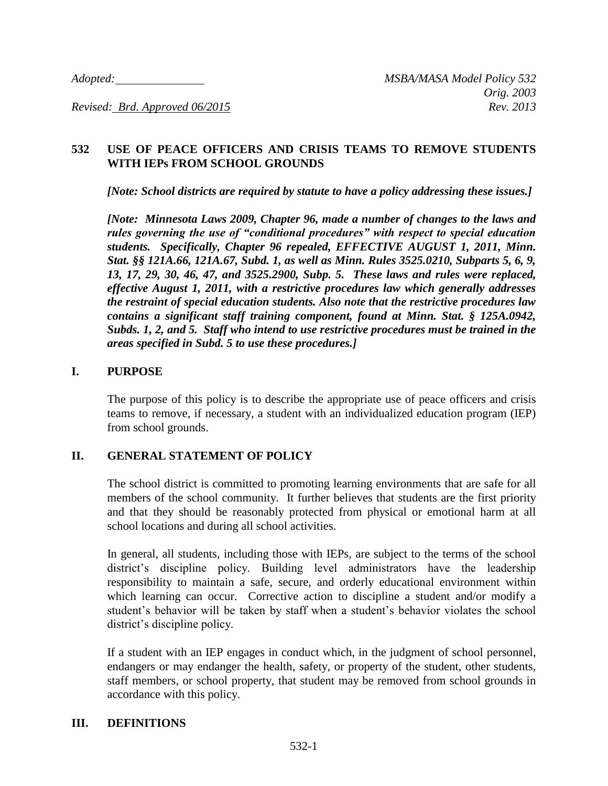## **532 USE OF PEACE OFFICERS AND CRISIS TEAMS TO REMOVE STUDENTS WITH IEPs FROM SCHOOL GROUNDS**

*[Note: School districts are required by statute to have a policy addressing these issues.]*

*[Note: Minnesota Laws 2009, Chapter 96, made a number of changes to the laws and rules governing the use of "conditional procedures" with respect to special education students. Specifically, Chapter 96 repealed, EFFECTIVE AUGUST 1, 2011, Minn. Stat. §§ 121A.66, 121A.67, Subd. 1, as well as Minn. Rules 3525.0210, Subparts 5, 6, 9, 13, 17, 29, 30, 46, 47, and 3525.2900, Subp. 5. These laws and rules were replaced, effective August 1, 2011, with a restrictive procedures law which generally addresses the restraint of special education students. Also note that the restrictive procedures law contains a significant staff training component, found at Minn. Stat. § 125A.0942, Subds. 1, 2, and 5. Staff who intend to use restrictive procedures must be trained in the areas specified in Subd. 5 to use these procedures.]*

### **I. PURPOSE**

The purpose of this policy is to describe the appropriate use of peace officers and crisis teams to remove, if necessary, a student with an individualized education program (IEP) from school grounds.

# **II. GENERAL STATEMENT OF POLICY**

The school district is committed to promoting learning environments that are safe for all members of the school community. It further believes that students are the first priority and that they should be reasonably protected from physical or emotional harm at all school locations and during all school activities.

In general, all students, including those with IEPs, are subject to the terms of the school district's discipline policy. Building level administrators have the leadership responsibility to maintain a safe, secure, and orderly educational environment within which learning can occur. Corrective action to discipline a student and/or modify a student's behavior will be taken by staff when a student's behavior violates the school district's discipline policy.

If a student with an IEP engages in conduct which, in the judgment of school personnel, endangers or may endanger the health, safety, or property of the student, other students, staff members, or school property, that student may be removed from school grounds in accordance with this policy.

#### **III. DEFINITIONS**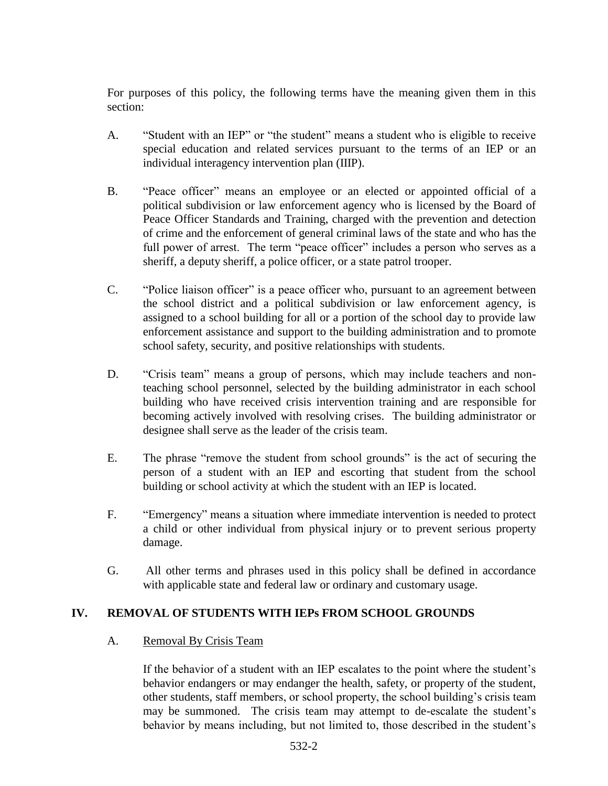For purposes of this policy, the following terms have the meaning given them in this section:

- A. "Student with an IEP" or "the student" means a student who is eligible to receive special education and related services pursuant to the terms of an IEP or an individual interagency intervention plan (IIIP).
- B. "Peace officer" means an employee or an elected or appointed official of a political subdivision or law enforcement agency who is licensed by the Board of Peace Officer Standards and Training, charged with the prevention and detection of crime and the enforcement of general criminal laws of the state and who has the full power of arrest. The term "peace officer" includes a person who serves as a sheriff, a deputy sheriff, a police officer, or a state patrol trooper.
- C. "Police liaison officer" is a peace officer who, pursuant to an agreement between the school district and a political subdivision or law enforcement agency, is assigned to a school building for all or a portion of the school day to provide law enforcement assistance and support to the building administration and to promote school safety, security, and positive relationships with students.
- D. "Crisis team" means a group of persons, which may include teachers and nonteaching school personnel, selected by the building administrator in each school building who have received crisis intervention training and are responsible for becoming actively involved with resolving crises. The building administrator or designee shall serve as the leader of the crisis team.
- E. The phrase "remove the student from school grounds" is the act of securing the person of a student with an IEP and escorting that student from the school building or school activity at which the student with an IEP is located.
- F. "Emergency" means a situation where immediate intervention is needed to protect a child or other individual from physical injury or to prevent serious property damage.
- G. All other terms and phrases used in this policy shall be defined in accordance with applicable state and federal law or ordinary and customary usage.

# **IV. REMOVAL OF STUDENTS WITH IEPs FROM SCHOOL GROUNDS**

# A. Removal By Crisis Team

If the behavior of a student with an IEP escalates to the point where the student's behavior endangers or may endanger the health, safety, or property of the student, other students, staff members, or school property, the school building's crisis team may be summoned. The crisis team may attempt to de-escalate the student's behavior by means including, but not limited to, those described in the student's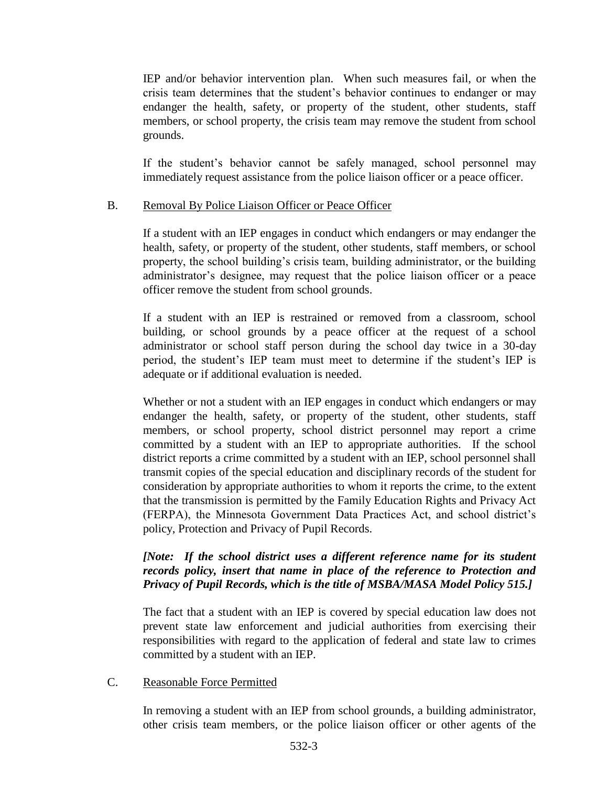IEP and/or behavior intervention plan. When such measures fail, or when the crisis team determines that the student's behavior continues to endanger or may endanger the health, safety, or property of the student, other students, staff members, or school property, the crisis team may remove the student from school grounds.

If the student's behavior cannot be safely managed, school personnel may immediately request assistance from the police liaison officer or a peace officer.

### B. Removal By Police Liaison Officer or Peace Officer

If a student with an IEP engages in conduct which endangers or may endanger the health, safety, or property of the student, other students, staff members, or school property, the school building's crisis team, building administrator, or the building administrator's designee, may request that the police liaison officer or a peace officer remove the student from school grounds.

If a student with an IEP is restrained or removed from a classroom, school building, or school grounds by a peace officer at the request of a school administrator or school staff person during the school day twice in a 30-day period, the student's IEP team must meet to determine if the student's IEP is adequate or if additional evaluation is needed.

Whether or not a student with an IEP engages in conduct which endangers or may endanger the health, safety, or property of the student, other students, staff members, or school property, school district personnel may report a crime committed by a student with an IEP to appropriate authorities. If the school district reports a crime committed by a student with an IEP, school personnel shall transmit copies of the special education and disciplinary records of the student for consideration by appropriate authorities to whom it reports the crime, to the extent that the transmission is permitted by the Family Education Rights and Privacy Act (FERPA), the Minnesota Government Data Practices Act, and school district's policy, Protection and Privacy of Pupil Records.

# *[Note: If the school district uses a different reference name for its student records policy, insert that name in place of the reference to Protection and Privacy of Pupil Records, which is the title of MSBA/MASA Model Policy 515.]*

The fact that a student with an IEP is covered by special education law does not prevent state law enforcement and judicial authorities from exercising their responsibilities with regard to the application of federal and state law to crimes committed by a student with an IEP.

# C. Reasonable Force Permitted

In removing a student with an IEP from school grounds, a building administrator, other crisis team members, or the police liaison officer or other agents of the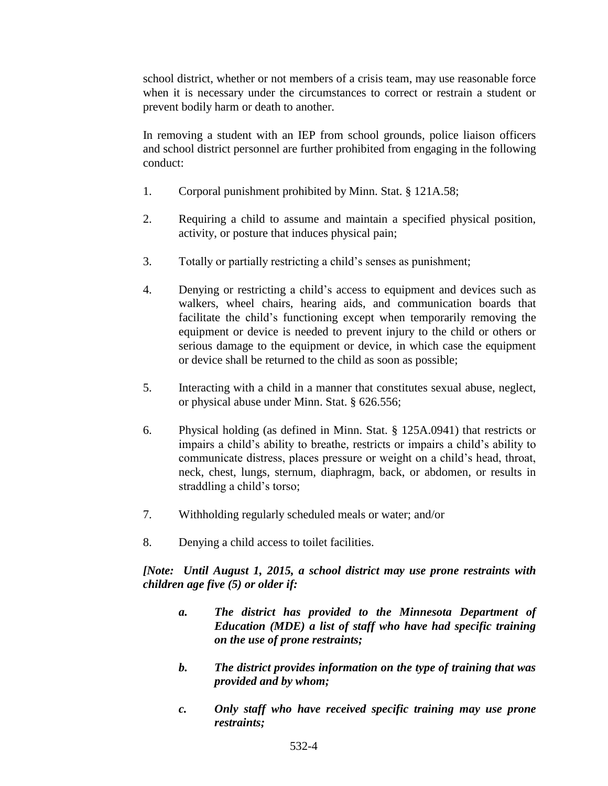school district, whether or not members of a crisis team, may use reasonable force when it is necessary under the circumstances to correct or restrain a student or prevent bodily harm or death to another.

In removing a student with an IEP from school grounds, police liaison officers and school district personnel are further prohibited from engaging in the following conduct:

- 1. Corporal punishment prohibited by Minn. Stat. § 121A.58;
- 2. Requiring a child to assume and maintain a specified physical position, activity, or posture that induces physical pain;
- 3. Totally or partially restricting a child's senses as punishment;
- 4. Denying or restricting a child's access to equipment and devices such as walkers, wheel chairs, hearing aids, and communication boards that facilitate the child's functioning except when temporarily removing the equipment or device is needed to prevent injury to the child or others or serious damage to the equipment or device, in which case the equipment or device shall be returned to the child as soon as possible;
- 5. Interacting with a child in a manner that constitutes sexual abuse, neglect, or physical abuse under Minn. Stat. § 626.556;
- 6. Physical holding (as defined in Minn. Stat. § 125A.0941) that restricts or impairs a child's ability to breathe, restricts or impairs a child's ability to communicate distress, places pressure or weight on a child's head, throat, neck, chest, lungs, sternum, diaphragm, back, or abdomen, or results in straddling a child's torso;
- 7. Withholding regularly scheduled meals or water; and/or
- 8. Denying a child access to toilet facilities.

*[Note: Until August 1, 2015, a school district may use prone restraints with children age five (5) or older if:*

- *a. The district has provided to the Minnesota Department of Education (MDE) a list of staff who have had specific training on the use of prone restraints;*
- *b. The district provides information on the type of training that was provided and by whom;*
- *c. Only staff who have received specific training may use prone restraints;*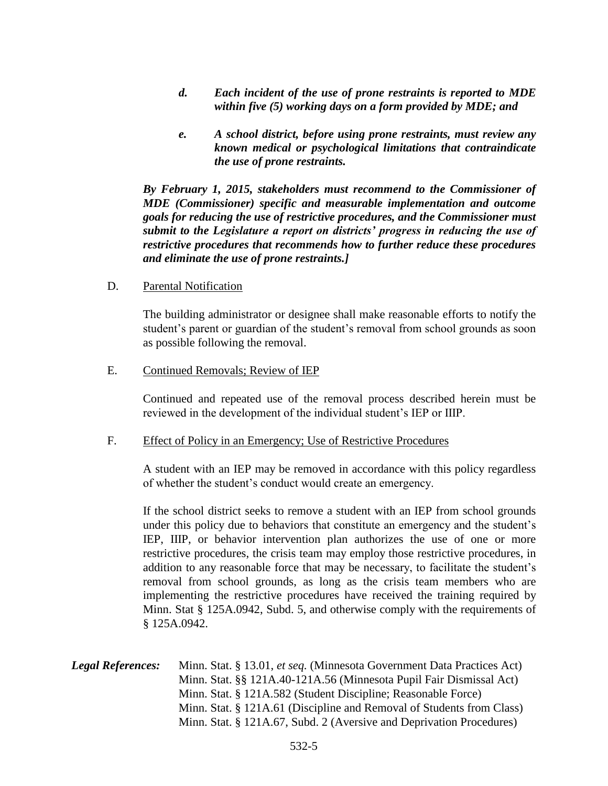- *d. Each incident of the use of prone restraints is reported to MDE within five (5) working days on a form provided by MDE; and*
- *e. A school district, before using prone restraints, must review any known medical or psychological limitations that contraindicate the use of prone restraints.*

*By February 1, 2015, stakeholders must recommend to the Commissioner of MDE (Commissioner) specific and measurable implementation and outcome goals for reducing the use of restrictive procedures, and the Commissioner must submit to the Legislature a report on districts' progress in reducing the use of restrictive procedures that recommends how to further reduce these procedures and eliminate the use of prone restraints.]*

D. Parental Notification

The building administrator or designee shall make reasonable efforts to notify the student's parent or guardian of the student's removal from school grounds as soon as possible following the removal.

#### E. Continued Removals; Review of IEP

Continued and repeated use of the removal process described herein must be reviewed in the development of the individual student's IEP or IIIP.

#### F. Effect of Policy in an Emergency; Use of Restrictive Procedures

A student with an IEP may be removed in accordance with this policy regardless of whether the student's conduct would create an emergency.

If the school district seeks to remove a student with an IEP from school grounds under this policy due to behaviors that constitute an emergency and the student's IEP, IIIP, or behavior intervention plan authorizes the use of one or more restrictive procedures, the crisis team may employ those restrictive procedures, in addition to any reasonable force that may be necessary, to facilitate the student's removal from school grounds, as long as the crisis team members who are implementing the restrictive procedures have received the training required by Minn. Stat § 125A.0942, Subd. 5, and otherwise comply with the requirements of § 125A.0942.

*Legal References:* Minn. Stat. § 13.01, *et seq.* (Minnesota Government Data Practices Act) Minn. Stat. §§ 121A.40-121A.56 (Minnesota Pupil Fair Dismissal Act) Minn. Stat. § 121A.582 (Student Discipline; Reasonable Force) Minn. Stat. § 121A.61 (Discipline and Removal of Students from Class) Minn. Stat. § 121A.67, Subd. 2 (Aversive and Deprivation Procedures)